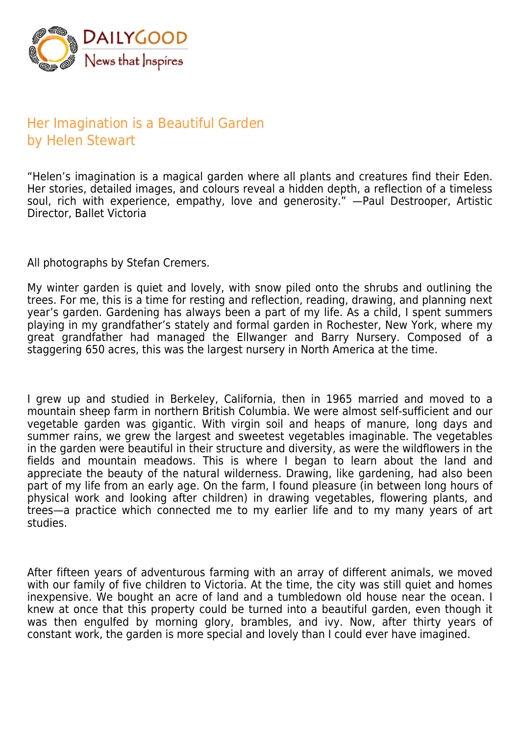

## Her Imagination is a Beautiful Garden by Helen Stewart

"Helen's imagination is a magical garden where all plants and creatures find their Eden. Her stories, detailed images, and colours reveal a hidden depth, a reflection of a timeless soul, rich with experience, empathy, love and generosity." —Paul Destrooper, Artistic Director, Ballet Victoria

All photographs by Stefan Cremers.

My winter garden is quiet and lovely, with snow piled onto the shrubs and outlining the trees. For me, this is a time for resting and reflection, reading, drawing, and planning next year's garden. Gardening has always been a part of my life. As a child, I spent summers playing in my grandfather's stately and formal garden in Rochester, New York, where my great grandfather had managed the Ellwanger and Barry Nursery. Composed of a staggering 650 acres, this was the largest nursery in North America at the time.

I grew up and studied in Berkeley, California, then in 1965 married and moved to a mountain sheep farm in northern British Columbia. We were almost self-sufficient and our vegetable garden was gigantic. With virgin soil and heaps of manure, long days and summer rains, we grew the largest and sweetest vegetables imaginable. The vegetables in the garden were beautiful in their structure and diversity, as were the wildflowers in the fields and mountain meadows. This is where I began to learn about the land and appreciate the beauty of the natural wilderness. Drawing, like gardening, had also been part of my life from an early age. On the farm, I found pleasure (in between long hours of physical work and looking after children) in drawing vegetables, flowering plants, and trees—a practice which connected me to my earlier life and to my many years of art studies.

After fifteen years of adventurous farming with an array of different animals, we moved with our family of five children to Victoria. At the time, the city was still quiet and homes inexpensive. We bought an acre of land and a tumbledown old house near the ocean. I knew at once that this property could be turned into a beautiful garden, even though it was then engulfed by morning glory, brambles, and ivy. Now, after thirty years of constant work, the garden is more special and lovely than I could ever have imagined.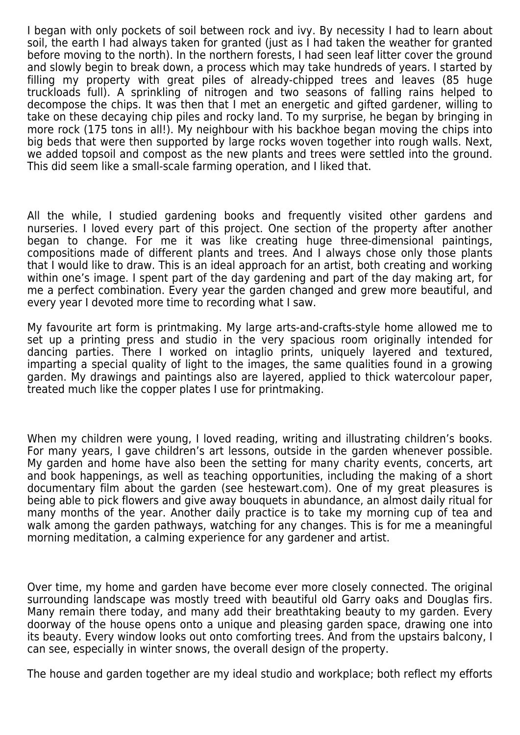I began with only pockets of soil between rock and ivy. By necessity I had to learn about soil, the earth I had always taken for granted (just as I had taken the weather for granted before moving to the north). In the northern forests, I had seen leaf litter cover the ground and slowly begin to break down, a process which may take hundreds of years. I started by filling my property with great piles of already-chipped trees and leaves (85 huge truckloads full). A sprinkling of nitrogen and two seasons of falling rains helped to decompose the chips. It was then that I met an energetic and gifted gardener, willing to take on these decaying chip piles and rocky land. To my surprise, he began by bringing in more rock (175 tons in all!). My neighbour with his backhoe began moving the chips into big beds that were then supported by large rocks woven together into rough walls. Next, we added topsoil and compost as the new plants and trees were settled into the ground. This did seem like a small-scale farming operation, and I liked that.

All the while, I studied gardening books and frequently visited other gardens and nurseries. I loved every part of this project. One section of the property after another began to change. For me it was like creating huge three-dimensional paintings, compositions made of different plants and trees. And I always chose only those plants that I would like to draw. This is an ideal approach for an artist, both creating and working within one's image. I spent part of the day gardening and part of the day making art, for me a perfect combination. Every year the garden changed and grew more beautiful, and every year I devoted more time to recording what I saw.

My favourite art form is printmaking. My large arts-and-crafts-style home allowed me to set up a printing press and studio in the very spacious room originally intended for dancing parties. There I worked on intaglio prints, uniquely layered and textured, imparting a special quality of light to the images, the same qualities found in a growing garden. My drawings and paintings also are layered, applied to thick watercolour paper, treated much like the copper plates I use for printmaking.

When my children were young, I loved reading, writing and illustrating children's books. For many years, I gave children's art lessons, outside in the garden whenever possible. My garden and home have also been the setting for many charity events, concerts, art and book happenings, as well as teaching opportunities, including the making of a short documentary film about the garden (see hestewart.com). One of my great pleasures is being able to pick flowers and give away bouquets in abundance, an almost daily ritual for many months of the year. Another daily practice is to take my morning cup of tea and walk among the garden pathways, watching for any changes. This is for me a meaningful morning meditation, a calming experience for any gardener and artist.

Over time, my home and garden have become ever more closely connected. The original surrounding landscape was mostly treed with beautiful old Garry oaks and Douglas firs. Many remain there today, and many add their breathtaking beauty to my garden. Every doorway of the house opens onto a unique and pleasing garden space, drawing one into its beauty. Every window looks out onto comforting trees. And from the upstairs balcony, I can see, especially in winter snows, the overall design of the property.

The house and garden together are my ideal studio and workplace; both reflect my efforts